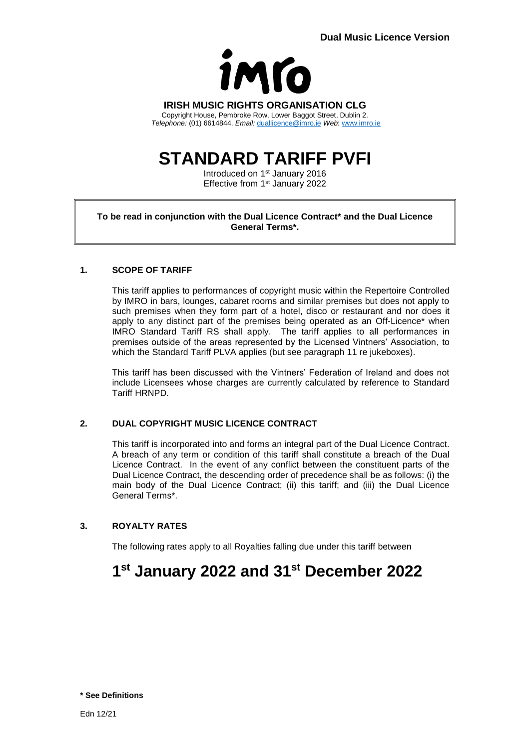

**IRISH MUSIC RIGHTS ORGANISATION CLG** Copyright House, Pembroke Row, Lower Baggot Street, Dublin 2.

*Telephone:* (01) 6614844. *Email:* [duallicence@imro.ie](mailto:duallicence@imro.ie) *Web*: [www.imro.ie](http://www.imro.ie/)

# **STANDARD TARIFF PVFI**

Introduced on 1<sup>st</sup> January 2016 Effective from 1<sup>st</sup> January 2022

### **To be read in conjunction with the Dual Licence Contract\* and the Dual Licence General Terms\*.**

# **1. SCOPE OF TARIFF**

This tariff applies to performances of copyright music within the Repertoire Controlled by IMRO in bars, lounges, cabaret rooms and similar premises but does not apply to such premises when they form part of a hotel, disco or restaurant and nor does it apply to any distinct part of the premises being operated as an Off-Licence\* when IMRO Standard Tariff RS shall apply. The tariff applies to all performances in premises outside of the areas represented by the Licensed Vintners' Association, to which the Standard Tariff PLVA applies (but see paragraph 11 re jukeboxes).

This tariff has been discussed with the Vintners' Federation of Ireland and does not include Licensees whose charges are currently calculated by reference to Standard Tariff HRNPD.

# **2. DUAL COPYRIGHT MUSIC LICENCE CONTRACT**

This tariff is incorporated into and forms an integral part of the Dual Licence Contract. A breach of any term or condition of this tariff shall constitute a breach of the Dual Licence Contract. In the event of any conflict between the constituent parts of the Dual Licence Contract, the descending order of precedence shall be as follows: (i) the main body of the Dual Licence Contract; (ii) this tariff; and (iii) the Dual Licence General Terms\*.

# **3. ROYALTY RATES**

The following rates apply to all Royalties falling due under this tariff between

# **1 st January 2022 and 31st December 2022**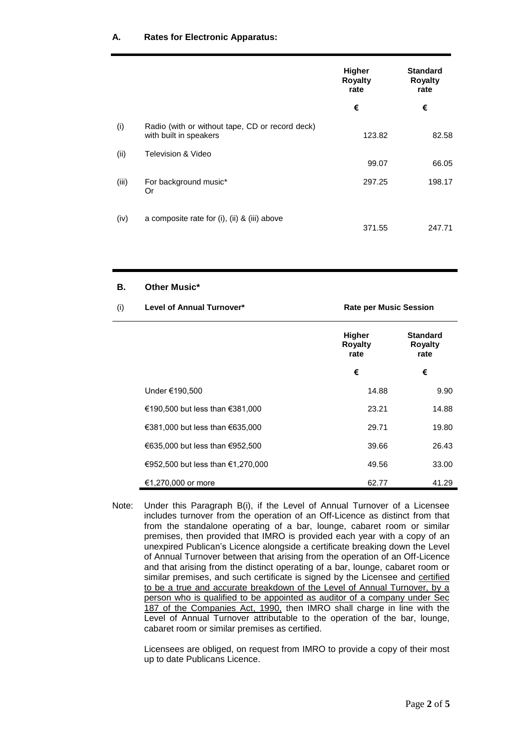# **A. Rates for Electronic Apparatus:**

|       |                                                                           | Higher<br><b>Royalty</b><br>rate | <b>Standard</b><br><b>Royalty</b><br>rate |
|-------|---------------------------------------------------------------------------|----------------------------------|-------------------------------------------|
|       |                                                                           | €                                | €                                         |
| (i)   | Radio (with or without tape, CD or record deck)<br>with built in speakers | 123.82                           | 82.58                                     |
| (ii)  | Television & Video                                                        | 99.07                            | 66.05                                     |
| (iii) | For background music*<br>Or                                               | 297.25                           | 198.17                                    |
| (iv)  | a composite rate for (i), (ii) & (iii) above                              | 371.55                           | 247.71                                    |

# **B. Other Music\***

| (i) | Level of Annual Turnover*         | <b>Rate per Music Session</b>           |                                           |
|-----|-----------------------------------|-----------------------------------------|-------------------------------------------|
|     |                                   | <b>Higher</b><br><b>Royalty</b><br>rate | <b>Standard</b><br><b>Royalty</b><br>rate |
|     |                                   | €                                       | €                                         |
|     | Under €190,500                    | 14.88                                   | 9.90                                      |
|     | €190,500 but less than €381,000   | 23.21                                   | 14.88                                     |
|     | €381,000 but less than €635,000   | 29.71                                   | 19.80                                     |
|     | €635,000 but less than €952,500   | 39.66                                   | 26.43                                     |
|     | €952,500 but less than €1,270,000 | 49.56                                   | 33.00                                     |
|     | €1,270,000 or more                | 62.77                                   | 41.29                                     |

Note: Under this Paragraph B(i), if the Level of Annual Turnover of a Licensee includes turnover from the operation of an Off-Licence as distinct from that from the standalone operating of a bar, lounge, cabaret room or similar premises, then provided that IMRO is provided each year with a copy of an unexpired Publican's Licence alongside a certificate breaking down the Level of Annual Turnover between that arising from the operation of an Off-Licence and that arising from the distinct operating of a bar, lounge, cabaret room or similar premises, and such certificate is signed by the Licensee and certified to be a true and accurate breakdown of the Level of Annual Turnover, by a person who is qualified to be appointed as auditor of a company under Sec 187 of the Companies Act, 1990, then IMRO shall charge in line with the Level of Annual Turnover attributable to the operation of the bar, lounge, cabaret room or similar premises as certified.

Licensees are obliged, on request from IMRO to provide a copy of their most up to date Publicans Licence.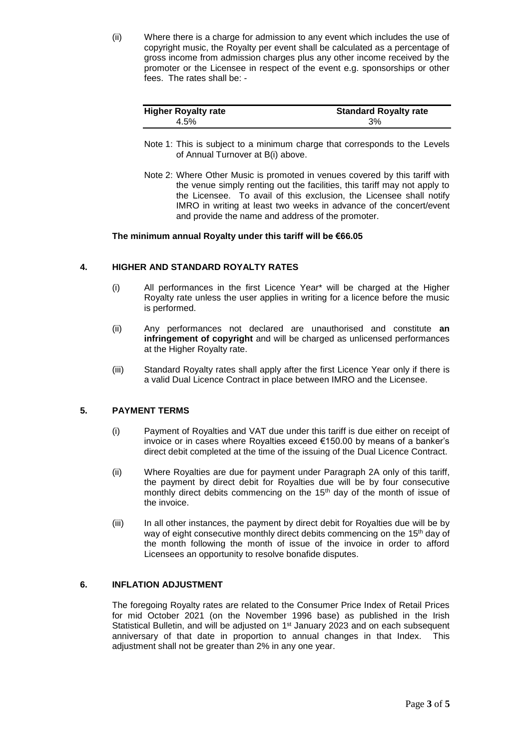(ii) Where there is a charge for admission to any event which includes the use of copyright music, the Royalty per event shall be calculated as a percentage of gross income from admission charges plus any other income received by the promoter or the Licensee in respect of the event e.g. sponsorships or other fees. The rates shall be: -

| <b>Higher Royalty rate</b> | <b>Standard Royalty rate</b> |
|----------------------------|------------------------------|
| 4.5%                       | 3%                           |

- Note 1: This is subject to a minimum charge that corresponds to the Levels of Annual Turnover at B(i) above.
- Note 2: Where Other Music is promoted in venues covered by this tariff with the venue simply renting out the facilities, this tariff may not apply to the Licensee. To avail of this exclusion, the Licensee shall notify IMRO in writing at least two weeks in advance of the concert/event and provide the name and address of the promoter.

#### **The minimum annual Royalty under this tariff will be €66.05**

#### **4. HIGHER AND STANDARD ROYALTY RATES**

- (i) All performances in the first Licence Year\* will be charged at the Higher Royalty rate unless the user applies in writing for a licence before the music is performed.
- (ii) Any performances not declared are unauthorised and constitute **an infringement of copyright** and will be charged as unlicensed performances at the Higher Royalty rate.
- (iii) Standard Royalty rates shall apply after the first Licence Year only if there is a valid Dual Licence Contract in place between IMRO and the Licensee.

# **5. PAYMENT TERMS**

- (i) Payment of Royalties and VAT due under this tariff is due either on receipt of invoice or in cases where Royalties exceed €150.00 by means of a banker's direct debit completed at the time of the issuing of the Dual Licence Contract.
- (ii) Where Royalties are due for payment under Paragraph 2A only of this tariff, the payment by direct debit for Royalties due will be by four consecutive monthly direct debits commencing on the 15<sup>th</sup> day of the month of issue of the invoice.
- (iii) In all other instances, the payment by direct debit for Royalties due will be by way of eight consecutive monthly direct debits commencing on the 15<sup>th</sup> day of the month following the month of issue of the invoice in order to afford Licensees an opportunity to resolve bonafide disputes.

# **6. INFLATION ADJUSTMENT**

The foregoing Royalty rates are related to the Consumer Price Index of Retail Prices for mid October 2021 (on the November 1996 base) as published in the Irish Statistical Bulletin, and will be adjusted on 1<sup>st</sup> January 2023 and on each subsequent anniversary of that date in proportion to annual changes in that Index. This adjustment shall not be greater than 2% in any one year.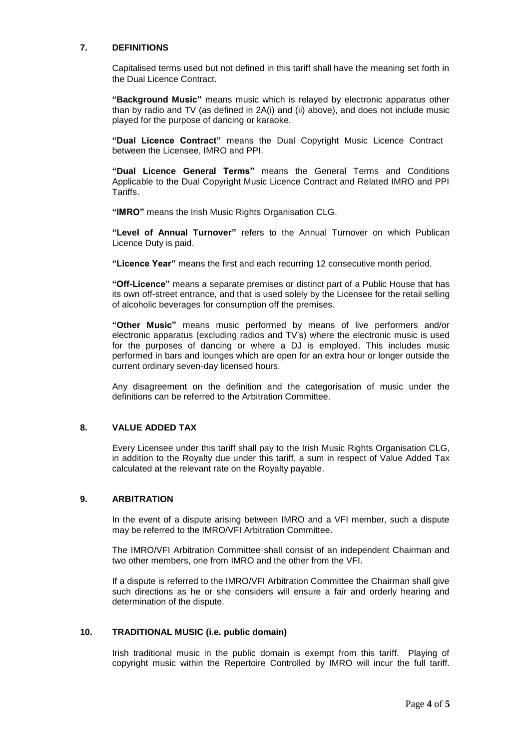#### **7. DEFINITIONS**

Capitalised terms used but not defined in this tariff shall have the meaning set forth in the Dual Licence Contract.

**"Background Music"** means music which is relayed by electronic apparatus other than by radio and TV (as defined in 2A(i) and (ii) above), and does not include music played for the purpose of dancing or karaoke.

**"Dual Licence Contract"** means the Dual Copyright Music Licence Contract between the Licensee, IMRO and PPI.

**"Dual Licence General Terms"** means the General Terms and Conditions Applicable to the Dual Copyright Music Licence Contract and Related IMRO and PPI Tariffs.

**"IMRO"** means the Irish Music Rights Organisation CLG.

**"Level of Annual Turnover"** refers to the Annual Turnover on which Publican Licence Duty is paid.

**"Licence Year"** means the first and each recurring 12 consecutive month period.

**"Off-Licence"** means a separate premises or distinct part of a Public House that has its own off-street entrance, and that is used solely by the Licensee for the retail selling of alcoholic beverages for consumption off the premises.

**"Other Music"** means music performed by means of live performers and/or electronic apparatus (excluding radios and TV's) where the electronic music is used for the purposes of dancing or where a DJ is employed. This includes music performed in bars and lounges which are open for an extra hour or longer outside the current ordinary seven-day licensed hours.

Any disagreement on the definition and the categorisation of music under the definitions can be referred to the Arbitration Committee.

# **8. VALUE ADDED TAX**

Every Licensee under this tariff shall pay to the Irish Music Rights Organisation CLG, in addition to the Royalty due under this tariff, a sum in respect of Value Added Tax calculated at the relevant rate on the Royalty payable.

# **9. ARBITRATION**

In the event of a dispute arising between IMRO and a VFI member, such a dispute may be referred to the IMRO/VFI Arbitration Committee.

The IMRO/VFI Arbitration Committee shall consist of an independent Chairman and two other members, one from IMRO and the other from the VFI.

If a dispute is referred to the IMRO/VFI Arbitration Committee the Chairman shall give such directions as he or she considers will ensure a fair and orderly hearing and determination of the dispute.

#### **10. TRADITIONAL MUSIC (i.e. public domain)**

Irish traditional music in the public domain is exempt from this tariff. Playing of copyright music within the Repertoire Controlled by IMRO will incur the full tariff.